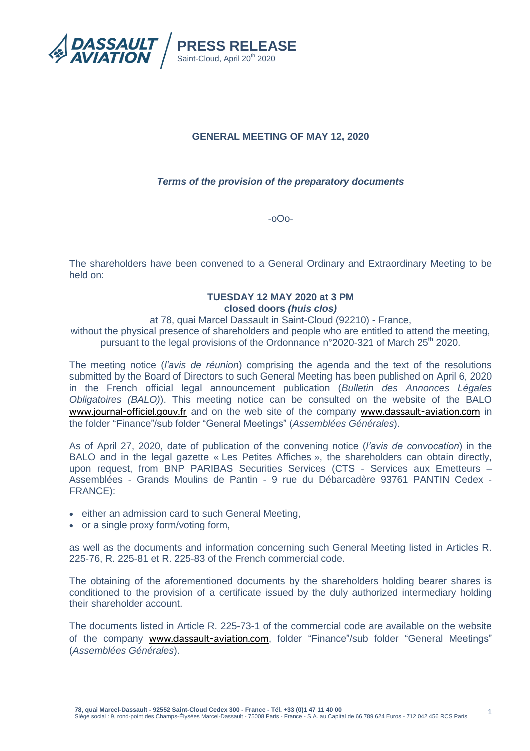

# **GENERAL MEETING OF MAY 12, 2020**

# *Terms of the provision of the preparatory documents*

-oOo-

The shareholders have been convened to a General Ordinary and Extraordinary Meeting to be held on:

### **TUESDAY 12 MAY 2020 at 3 PM closed doors** *(huis clos)*

at 78, quai Marcel Dassault in Saint-Cloud (92210) - France,

without the physical presence of shareholders and people who are entitled to attend the meeting, pursuant to the legal provisions of the Ordonnance n°2020-321 of March 25<sup>th</sup> 2020.

The meeting notice (*l'avis de réunion*) comprising the agenda and the text of the resolutions submitted by the Board of Directors to such General Meeting has been published on April 6, 2020 in the French official legal announcement publication (*Bulletin des Annonces Légales Obligatoires (BALO)*). This meeting notice can be consulted on the website of the BALO [www.journal-officiel.gouv.fr](http://www.journal-officiel.gouv.fr/) and on the web site of the company [www.dassault-aviation.com](http://www.dassault-aviation.com/) in the folder "Finance"/sub folder "General Meetings" (*Assemblées Générales*).

As of April 27, 2020, date of publication of the convening notice (*l'avis de convocation*) in the BALO and in the legal gazette « Les Petites Affiches », the shareholders can obtain directly, upon request, from BNP PARIBAS Securities Services (CTS - Services aux Emetteurs – Assemblées - Grands Moulins de Pantin - 9 rue du Débarcadère 93761 PANTIN Cedex - FRANCE):

- either an admission card to such General Meeting,
- or a single proxy form/voting form,

as well as the documents and information concerning such General Meeting listed in Articles R. 225-76, R. 225-81 et R. 225-83 of the French commercial code.

The obtaining of the aforementioned documents by the shareholders holding bearer shares is conditioned to the provision of a certificate issued by the duly authorized intermediary holding their shareholder account.

The documents listed in Article R. 225-73-1 of the commercial code are available on the website of the company [www.dassault-aviation.com](http://www.dassault-aviation.com/), folder "Finance"/sub folder "General Meetings" (*Assemblées Générales*).